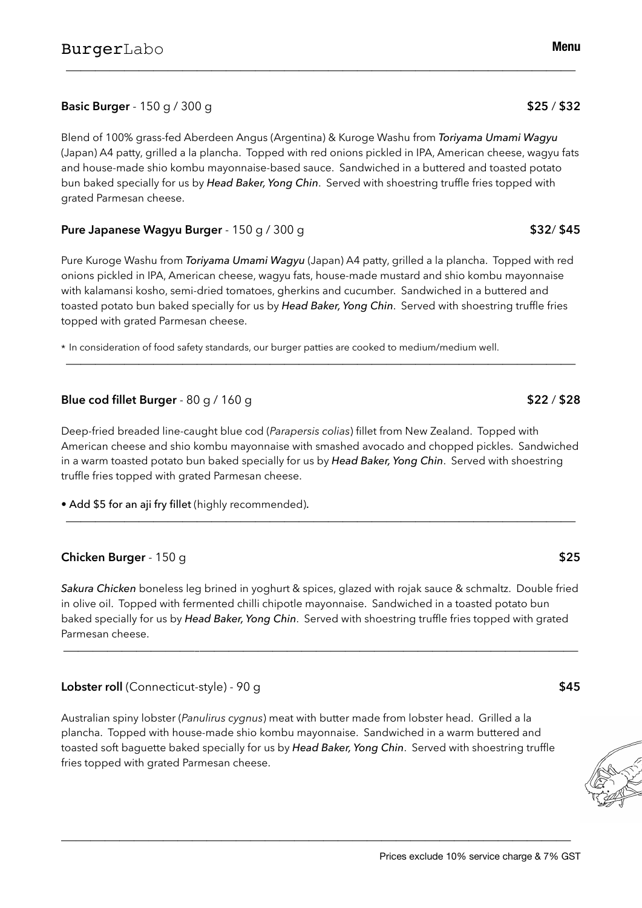Blend of 100% grass-fed Aberdeen Angus (Argentina) & Kuroge Washu from *Toriyama Umami Wagyu* (Japan) A4 patty, grilled a la plancha. Topped with red onions pickled in IPA, American cheese, wagyu fats and house-made shio kombu mayonnaise-based sauce. Sandwiched in a buttered and toasted potato bun baked specially for us by *Head Baker, Yong Chin*. Served with shoestring truffle fries topped with grated Parmesan cheese.

# **Pure Japanese Wagyu Burger** - 150 g / 300 g **\$32/** \$45

Pure Kuroge Washu from *Toriyama Umami Wagyu* (Japan) A4 patty, grilled a la plancha. Topped with red onions pickled in IPA, American cheese, wagyu fats, house-made mustard and shio kombu mayonnaise with kalamansi kosho, semi-dried tomatoes, gherkins and cucumber. Sandwiched in a buttered and toasted potato bun baked specially for us by *Head Baker, Yong Chin*. Served with shoestring truffle fries topped with grated Parmesan cheese.

\* In consideration of food safety standards, our burger patties are cooked to medium/medium well.

# **Blue cod fillet Burger** - 80 g / 160 g **\$22** / \$28

Deep-fried breaded line-caught blue cod (*Parapersis colias*) fillet from New Zealand. Topped with American cheese and shio kombu mayonnaise with smashed avocado and chopped pickles. Sandwiched in a warm toasted potato bun baked specially for us by *Head Baker, Yong Chin*. Served with shoestring truffle fries topped with grated Parmesan cheese.

̶̶̶̶̶̶̶̶̶̶̶̶̶̶̶̶̶̶̶̶̶̶̶̶̶̶̶̶̶̶̶̶̶̶̶

• Add \$5 for an aji fry fillet (highly recommended).

# **Chicken Burger** - 150 g **\$25**

*Sakura Chicken* boneless leg brined in yoghurt & spices, glazed with rojak sauce & schmaltz. Double fried in olive oil. Topped with fermented chilli chipotle mayonnaise. Sandwiched in a toasted potato bun baked specially for us by *Head Baker, Yong Chin*. Served with shoestring truffle fries topped with grated Parmesan cheese.

̶̶̶̶̶̶̶̶̶-̶̶̶̶̶̶̶̶̶̶̶̶̶̶̶̶̶̶̶̶̶̶̶̶̶̶

# **Lobster roll** (Connecticut-style) - 90 g **\$45**

Australian spiny lobster (*Panulirus cygnus*) meat with butter made from lobster head. Grilled a la plancha. Topped with house-made shio kombu mayonnaise. Sandwiched in a warm buttered and toasted soft baguette baked specially for us by *Head Baker, Yong Chin*. Served with shoestring truffle fries topped with grated Parmesan cheese.

̶̶̶̶̶̶̶̶̶̶̶̶̶̶̶̶̶̶̶̶̶̶̶̶̶̶̶̶̶̶̶̶̶̶̶

# ̶̶̶̶̶̶̶̶̶̶̶̶̶̶̶̶̶̶̶̶̶̶̶̶̶̶̶̶̶̶̶̶̶̶̶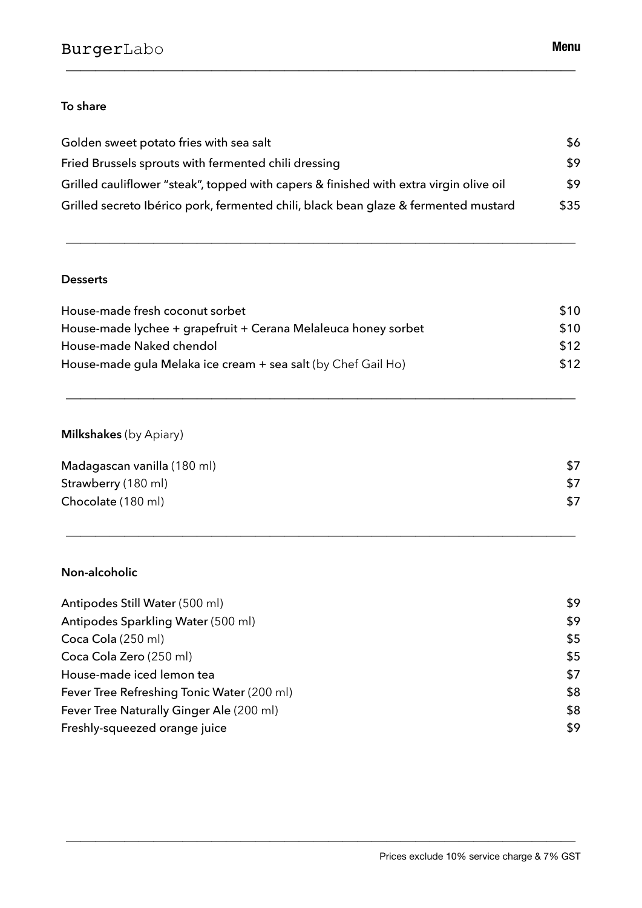# **To share**

| Golden sweet potato fries with sea salt                                                | \$6  |
|----------------------------------------------------------------------------------------|------|
| Fried Brussels sprouts with fermented chili dressing                                   | \$9  |
| Grilled cauliflower "steak", topped with capers & finished with extra virgin olive oil | \$9  |
| Grilled secreto Ibérico pork, fermented chili, black bean glaze & fermented mustard    | \$35 |

̶̶̶̶̶̶̶̶̶̶̶̶̶̶̶̶̶̶̶̶̶̶̶̶̶̶̶̶̶̶̶̶̶̶̶

̶̶̶̶̶̶̶̶̶̶̶̶̶̶̶̶̶̶̶̶̶̶̶̶̶̶̶̶̶̶̶̶̶̶̶

### **Desserts**

| House-made fresh coconut sorbet                                | \$10 |
|----------------------------------------------------------------|------|
| House-made lychee + grapefruit + Cerana Melaleuca honey sorbet | \$10 |
| House-made Naked chendol                                       | \$12 |
| House-made qula Melaka ice cream + sea salt (by Chef Gail Ho)  | \$12 |

̶̶̶̶̶̶̶̶̶̶̶̶̶̶̶̶̶̶̶̶̶̶̶̶̶̶̶̶̶̶̶̶̶̶̶

# **Milkshakes** (by Apiary)

| Madagascan vanilla (180 ml) |  |
|-----------------------------|--|
| Strawberry (180 ml)         |  |
| Chocolate (180 ml)          |  |

̶̶̶̶̶̶̶̶̶̶̶̶̶̶̶̶̶̶̶̶̶̶̶̶̶̶̶̶̶̶̶̶̶̶̶

# **Non-alcoholic**

| Antipodes Still Water (500 ml)             | \$9 |
|--------------------------------------------|-----|
| Antipodes Sparkling Water (500 ml)         | \$9 |
| Coca Cola (250 ml)                         | \$5 |
| Coca Cola Zero (250 ml)                    | \$5 |
| House-made iced lemon tea                  | \$7 |
| Fever Tree Refreshing Tonic Water (200 ml) | \$8 |
| Fever Tree Naturally Ginger Ale (200 ml)   | \$8 |
| Freshly-squeezed orange juice              | \$9 |
|                                            |     |

̶̶̶̶̶̶̶̶̶̶̶̶̶̶̶̶̶̶̶̶̶̶̶̶̶̶̶̶̶̶̶̶̶̶̶